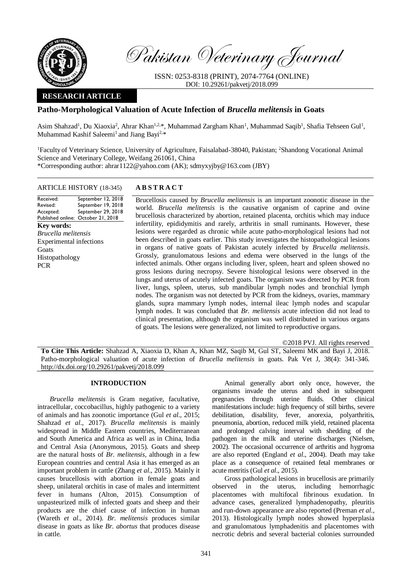

Pakistan Veterinary Journal

ISSN: 0253-8318 (PRINT), 2074-7764 (ONLINE) DOI: 10.29261/pakvetj/2018.099

# **RESEARCH ARTICLE**

# **Patho-Morphological Valuation of Acute Infection of** *Brucella melitensis* **in Goats**

Asim Shahzad<sup>1</sup>, Du Xiaoxia<sup>2</sup>, Ahrar Khan<sup>1,2,\*</sup>, Muhammad Zargham Khan<sup>1</sup>, Muhammad Saqib<sup>1</sup>, Shafia Tehseen Gul<sup>1</sup>, Muhammad Kashif Saleemi<sup>1</sup> and Jiang Bayi<sup>2,\*</sup>

<sup>1</sup>Faculty of Veterinary Science, University of Agriculture, Faisalabad-38040, Pakistan; <sup>2</sup>Shandong Vocational Animal Science and Veterinary College, Weifang 261061, China \*Corresponding author: [ahrar1122@yahoo.com](mailto:ahrar1122@yahoo.com) (AK)[; sdmyxyjby@163.com](mailto:sdmyxyjby@163.com) (JBY)

## ARTICLE HISTORY (18-345) **A B S T R A C T**

#### Received: Revised: Accepted: Published online: October 21, 2018 September 12, 2018 September 19, 2018 September 29, 2018 **Key words:**  *Brucella melitensis* Experimental infections **Goats** Histopathology PCR

Brucellosis caused by *Brucella melitensis* is an important zoonotic disease in the world. *Brucella melitensis* is the causative organism of caprine and ovine brucellosis characterized by abortion, retained placenta, orchitis which may induce infertility, epididymitis and rarely, arthritis in small ruminants. However, these lesions were regarded as chronic while acute patho-morphological lesions had not been described in goats earlier. This study investigates the histopathological lesions in organs of native goats of Pakistan acutely infected by *Brucella melitensis*. Grossly, granulomatous lesions and edema were observed in the lungs of the infected animals. Other organs including liver, spleen, heart and spleen showed no gross lesions during necropsy. Severe histological lesions were observed in the lungs and uterus of acutely infected goats. The organism was detected by PCR from liver, lungs, spleen, uterus, sub mandibular lymph nodes and bronchial lymph nodes. The organism was not detected by PCR from the kidneys, ovaries, mammary glands, supra mammary lymph nodes, internal ileac lymph nodes and scapular lymph nodes. It was concluded that *Br. melitensis* acute infection did not lead to clinical presentation, although the organism was well distributed in various organs of goats. The lesions were generalized, not limited to reproductive organs.

©2018 PVJ. All rights reserved

**To Cite This Article:** Shahzad A, Xiaoxia D, Khan A, Khan MZ, Saqib M, Gul ST, Saleemi MK and Bayi J, 2018. Patho-morphological valuation of acute infection of *Brucella melitensis* in goats. Pak Vet J, 38(4): 341-346. [http://dx.doi.org/10.29261/pakvetj/2018.099](http://pvj.com.pk/pdf-files/38_4/341-346.pdf) 

# **INTRODUCTION**

*Brucella melitensis* is Gram negative, facultative, intracellular, coccobacillus, highly pathogenic to a variety of animals and has zoonotic importance (Gul *et al*., 2015; Shahzad *et al*., 2017). *Brucella melitensis* is mainly widespread in Middle Eastern countries, Mediterranean and South America and Africa as well as in China, India and Central Asia (Anonymous, 2015). Goats and sheep are the natural hosts of *Br. melitensis,* although in a few European countries and central Asia it has emerged as an important problem in cattle (Zhang *et al*., 2015). Mainly it causes brucellosis with abortion in female goats and sheep, unilateral orchitis in case of males and intermittent fever in humans (Alton, 2015). Consumption of unpasteurized milk of infected goats and sheep and their products are the chief cause of infection in human (Wareth *et al*., 2014). *Br. melitensis* produces similar disease in goats as like *Br. abortus* that produces disease in cattle.

Animal generally abort only once, however, the organisms invade the uterus and shed in subsequent pregnancies through uterine fluids. Other clinical manifestations include: high frequency of still births, severe debilitation, disability, fever, anorexia, polyarthritis, pneumonia, abortion, reduced milk yield, retained placenta and prolonged calving interval with shedding of the pathogen in the milk and uterine discharges (Nielsen, 2002). The occasional occurrence of arthritis and hygroma are also reported (England *et al*., 2004). Death may take place as a consequence of retained fetal membranes or acute metritis (Gul *et al*., 2015).

Gross pathological lesions in brucellosis are primarily observed in the uterus, including hemorrhagic placentomes with multifocal fibrinous exudation. In advance cases, generalized lymphadenopathy, pleuritis and run-down appearance are also reported (Preman *et al*., 2013). Histologically lymph nodes showed hyperplasia and granulomatous lymphadenitis and placentomes with necrotic debris and several bacterial colonies surrounded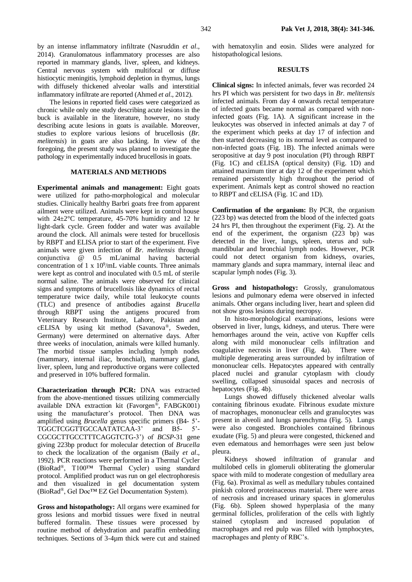by an intense inflammatory infiltrate (Nasruddin *et al*., 2014). Granulomatous inflammatory processes are also reported in mammary glands, liver, spleen, and kidneys. Central nervous system with multifocal or diffuse histiocytic meningitis, lymphoid depletion in thymus, lungs with diffusely thickened alveolar walls and interstitial inflammatory infiltrate are reported (Ahmed *et al*., 2012).

The lesions in reported field cases were categorized as chronic while only one study describing acute lesions in the buck is available in the literature, however, no study describing acute lesions in goats is available. Moreover, studies to explore various lesions of brucellosis (*Br. melitensis*) in goats are also lacking. In view of the foregoing, the present study was planned to investigate the pathology in experimentally induced brucellosis in goats.

### **MATERIALS AND METHODS**

**Experimental animals and management:** Eight goats were utilized for patho-morphological and molecular studies. Clinically healthy Barbri goats free from apparent ailment were utilized. Animals were kept in control house with 24±2°C temperature, 45-70% humidity and 12 hr light-dark cycle. Green fodder and water was available around the clock. All animals were tested for brucellosis by RBPT and ELISA prior to start of the experiment. Five animals were given infection of *Br. melitensis* through conjunctiva @ 0.5 mL/animal having bacterial concentration of 1 x  $10^9$ /mL viable counts. Three animals were kept as control and inoculated with 0.5 mL of sterile normal saline. The animals were observed for clinical signs and symptoms of brucellosis like dynamics of rectal temperature twice daily, while total leukocyte counts (TLC) and presence of antibodies against *Brucella* through RBPT using the antigens procured from Veterinary Research Institute, Lahore, Pakistan and cELISA by using kit method (Savanova®, Sweden, Germany) were determined on alternative days. After three weeks of inoculation, animals were killed humanly. The morbid tissue samples including lymph nodes (mammary, internal iliac, bronchial), mammary gland, liver, spleen, lung and reproductive organs were collected and preserved in 10% buffered formalin.

**Characterization through PCR:** DNA was extracted from the above-mentioned tissues utilizing commercially available DNA extraction kit (Favorgen<sup>®</sup>, FABGK001) using the manufacturer's protocol. Then DNA was amplified using *Brucella* genus specific primers (B4- 5'- TGGCTCGGTTGCCAATATCAA-3' and B5- 5'- CGCGCTTGCCTTTCAGGTCTG-3') of *BCSP*-31 gene giving 223bp product for molecular detection of *Brucella* to check the localization of the organism (Baily *et al*., 1992). PCR reactions were performed in a Thermal Cycler (BioRad®, T100™ Thermal Cycler) using standard protocol. Amplified product was run on gel electrophoresis and then visualized in gel documentation system (BioRad®, Gel Doc™ EZ Gel Documentation System).

**Gross and histopathology:** All organs were examined for gross lesions and morbid tissues were fixed in neutral buffered formalin. These tissues were processed by routine method of dehydration and paraffin embedding techniques. Sections of 3-4µm thick were cut and stained

with hematoxylin and eosin. Slides were analyzed for histopathological lesions.

#### **RESULTS**

**Clinical signs:** In infected animals, fever was recorded 24 hrs PI which was persistent for two days in *Br. melitensis* infected animals. From day 4 onwards rectal temperature of infected goats became normal as compared with noninfected goats (Fig. 1A). A significant increase in the leukocytes was observed in infected animals at day 7 of the experiment which peeks at day 17 of infection and then started decreasing to its normal level as compared to non-infected goats (Fig. 1B). The infected animals were seropositive at day 9 post inoculation (PI) through RBPT (Fig. 1C) and cELISA (optical density) (Fig. 1D) and attained maximum titer at day 12 of the experiment which remained persistently high throughout the period of experiment. Animals kept as control showed no reaction to RBPT and cELISA (Fig. 1C and 1D).

**Confirmation of the organism:** By PCR, the organism (223 bp) was detected from the blood of the infected goats 24 hrs PI, then throughout the experiment (Fig. 2). At the end of the experiment, the organism (223 bp) was detected in the liver, lungs, spleen, uterus and submandibular and bronchial lymph nodes. However, PCR could not detect organism from kidneys, ovaries, mammary glands and supra mammary, internal ileac and scapular lymph nodes (Fig. 3).

**Gross and histopathology:** Grossly, granulomatous lesions and pulmonary edema were observed in infected animals. Other organs including liver, heart and spleen did not show gross lesions during necropsy.

In histo-morphological examinations, lesions were observed in liver, lungs, kidneys, and uterus. There were hemorrhages around the vein, active von Kupffer cells along with mild mononuclear cells infiltration and coagulative necrosis in liver (Fig. 4a). There were multiple degenerating areas surrounded by infiltration of mononuclear cells. Hepatocytes appeared with centrally placed nuclei and granular cytoplasm with cloudy swelling, collapsed sinusoidal spaces and necrosis of hepatocytes (Fig. 4b).

Lungs showed diffusely thickened alveolar walls containing fibrinous exudate. Fibrinous exudate mixture of macrophages, mononuclear cells and granulocytes was present in alveoli and lungs parenchyma (Fig. 5). Lungs were also congested. Bronchioles contained fibrinous exudate (Fig. 5) and pleura were congested, thickened and even edematous and hemorrhages were seen just below pleura.

Kidneys showed infiltration of granular and multilobed cells in glomeruli obliterating the glomerular space with mild to moderate congestion of medullary area (Fig. 6a). Proximal as well as medullary tubules contained pinkish colored proteinaceous material. There were areas of necrosis and increased urinary spaces in glomerulus (Fig. 6b). Spleen showed hyperplasia of the many germinal follicles, proliferation of the cells with lightly stained cytoplasm and increased population of macrophages and red pulp was filled with lymphocytes, macrophages and plenty of RBC's.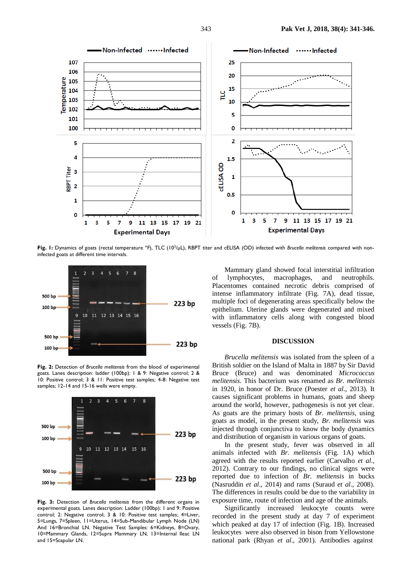

Fig. I: Dynamics of goats (rectal temperature °F), TLC (10<sup>3</sup>/µL), RBPT titer and cELISA (OD) infected with *Brucella melitensis* compared with noninfected goats at different time intervals.



**Fig. 2:** Detection of *Brucella melitensis* from the blood of experimental goats. Lanes description: ladder (100bp): 1 & 9: Negative control; 2 & 10: Positive control; 3 & 11: Positive test samples; 4-8: Negative test samples; 12-14 and 15-16 wells were empty.



**Fig. 3:** Detection of *Brucella melitensis* from the different organs in experimental goats. Lanes description: Ladder (100bp): 1 and 9: Positive control; 2: Negative control; 3 & 10: Positive test samples; 4=Liver, 5=Lungs, 7=Spleen, 11=Uterus, 14=Sub-Mandibular Lymph Node (LN) And 16=Bronchial LN. Negative Test Samples: 6=Kidneys, 8=Ovary, 10=Mammary Glands, 12=Supra Mammary LN, 13=Internal Ileac LN and 15=Scapular LN.

Mammary gland showed focal interstitial infiltration of lymphocytes, macrophages, and neutrophils. Placentomes contained necrotic debris comprised of intense inflammatory infiltrate (Fig. 7A), dead tissue, multiple foci of degenerating areas specifically below the epithelium. Uterine glands were degenerated and mixed with inflammatory cells along with congested blood vessels (Fig. 7B).

## **DISCUSSION**

*Brucella melitensis* was isolated from the spleen of a British soldier on the Island of Malta in 1887 by Sir David Bruce (Bruce) and was denominated *Micrococcus melitensis*. This bacterium was renamed as *Br. melitensis*  in 1920, in honor of Dr. Bruce (Poester *et al*., 2013). It causes significant problems in humans, goats and sheep around the world, however, pathogenesis is not yet clear. As goats are the primary hosts of *Br. melitensis*, using goats as model, in the present study, *Br. melitensis* was injected through conjunctiva to know the body dynamics and distribution of organism in various organs of goats.

In the present study, fever was observed in all animals infected with *Br. melitensis* (Fig. 1A) which agreed with the results reported earlier (Carvalho *et al*., 2012). Contrary to our findings, no clinical signs were reported due to infection of *Br. melitensis* in bucks (Nasruddin *et al*., 2014) and rams (Suraud *et al*., 2008). The differences in results could be due to the variability in exposure time, route of infection and age of the animals.

Significantly increased leukocyte counts were recorded in the present study at day 7 of experiment which peaked at day 17 of infection (Fig. 1B). Increased leukocytes were also observed in bison from Yellowstone national park (Rhyan *et al*., 2001). Antibodies against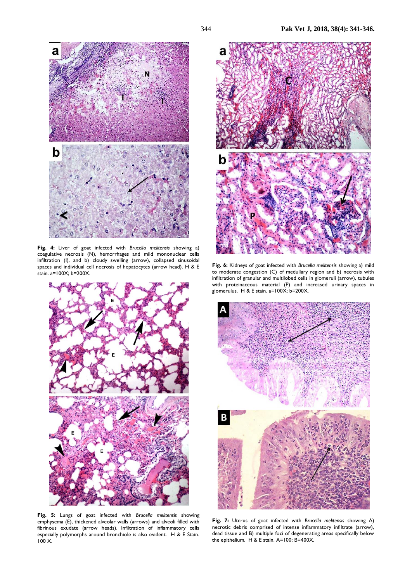

**Fig. 4:** Liver of goat infected with *Brucella melitensis* showing a) coagulative necrosis (N), hemorrhages and mild mononuclear cells infiltration (I), and b) cloudy swelling (arrow), collapsed sinusoidal spaces and individual cell necrosis of hepatocytes (arrow head). H & E stain. a=100X; b=200X.



**Fig. 5:** Lungs of goat infected with *Brucella melitensis* showing emphysema (E), thickened alveolar walls (arrows) and alveoli filled with fibrinous exudate (arrow heads). Infiltration of inflammatory cells especially polymorphs around bronchiole is also evident. H & E Stain. 100 X.



**Fig. 6:** Kidneys of goat infected with *Brucella melitensis* showing a) mild to moderate congestion (C) of medullary region and b) necrosis with infiltration of granular and multilobed cells in glomeruli (arrow), tubules with proteinaceous material (P) and increased urinary spaces in glomerulus. H & E stain.  $a=100X$ ;  $b=200X$ .



**Fig. 7:** Uterus of goat infected with *Brucella melitensis* showing A) necrotic debris comprised of intense inflammatory infiltrate (arrow), dead tissue and B) multiple foci of degenerating areas specifically below the epithelium. H & E stain. A=100; B=400X.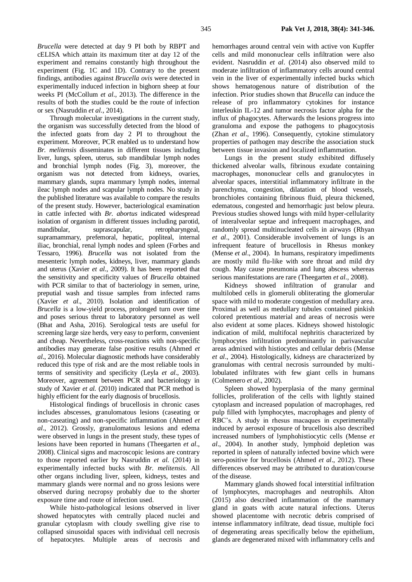*Brucella* were detected at day 9 PI both by RBPT and cELISA which attain its maximum titer at day 12 of the experiment and remains constantly high throughout the experiment (Fig. 1C and 1D). Contrary to the present findings, antibodies against *Brucella ovis* were detected in experimentally induced infection in bighorn sheep at four weeks PI (McCollum *et al*., 2013). The difference in the results of both the studies could be the route of infection or sex (Nasruddin *et al*., 2014).

Through molecular investigations in the current study, the organism was successfully detected from the blood of the infected goats from day 2 PI to throughout the experiment. Moreover, PCR enabled us to understand how *Br. melitensis* disseminates in different tissues including liver, lungs, spleen, uterus, sub mandibular lymph nodes and bronchial lymph nodes (Fig. 3), moreover, the organism was not detected from kidneys, ovaries, mammary glands, supra mammary lymph nodes, internal ileac lymph nodes and scapular lymph nodes. No study in the published literature was available to compare the results of the present study. However, bacteriological examination in cattle infected with *Br. abortus* indicated widespread isolation of organism in different tissues including parotid, mandibular, suprascapular, retropharyngeal, supramammary, prefemoral, hepatic, popliteal, internal iliac, bronchial, renal lymph nodes and spleen (Forbes and Tessaro, 1996). *Brucella* was not isolated from the mesenteric lymph nodes, kidneys, liver, mammary glands and uterus (Xavier *et al*., 2009). It has been reported that the sensitivity and specificity values of *Brucella* obtained with PCR similar to that of bacteriology in semen, urine, preputial wash and tissue samples from infected rams (Xavier *et al*., 2010). Isolation and identification of *Brucella* is a low-yield process, prolonged turn over time and poses serious threat to laboratory personnel as well (Bhat and Asha, 2016). Serological tests are useful for screening large size herds, very easy to perform, convenient and cheap. Nevertheless, cross-reactions with non-specific antibodies may generate false positive results (Ahmed *et al*., 2016). Molecular diagnostic methods have considerably reduced this type of risk and are the most reliable tools in terms of sensitivity and specificity (Leyla *et al*., 2003). Moreover, agreement between PCR and bacteriology in study of Xavier *et al.* (2010) indicated that PCR method is highly efficient for the early diagnosis of brucellosis.

Histological findings of brucellosis in chronic cases includes abscesses, granulomatous lesions (caseating or non-caseating) and non-specific inflammation (Ahmed *et al*., 2012). Grossly, granulomatous lesions and edema were observed in lungs in the present study, these types of lesions have been reported in humans (Theegarten *et al*., 2008). Clinical signs and macroscopic lesions are contrary to those reported earlier by Nasruddin *et al*. (2014) in experimentally infected bucks with *Br. melitensis*. All other organs including liver, spleen, kidneys, testes and mammary glands were normal and no gross lesions were observed during necropsy probably due to the shorter exposure time and route of infection used.

While histo-pathological lesions observed in liver showed hepatocytes with centrally placed nuclei and granular cytoplasm with cloudy swelling give rise to collapsed sinusoidal spaces with individual cell necrosis of hepatocytes. Multiple areas of necrosis and hemorrhages around central vein with active von Kupffer cells and mild mononuclear cells infiltration were also evident. Nasruddin *et al*. (2014) also observed mild to moderate infiltration of inflammatory cells around central vein in the liver of experimentally infected bucks which shows hematogenous nature of distribution of the infection. Prior studies shown that *Brucella* can induce the release of pro inflammatory cytokines for instance interleukin IL-12 and tumor necrosis factor alpha for the influx of phagocytes. Afterwards the lesions progress into granuloma and expose the pathogens to phagocytosis (Zhan *et al*., 1996). Consequently, cytokine stimulatory properties of pathogen may describe the association stuck between tissue invasion and localized inflammation.

Lungs in the present study exhibited diffusely thickened alveolar walls, fibrinous exudate containing macrophages, mononuclear cells and granulocytes in alveolar spaces, interstitial inflammatory infiltrate in the parenchyma, congestion, dilatation of blood vessels, bronchioles containing fibrinous fluid, pleura thickened, edematous, congested and hemorrhagic just below pleura. Previous studies showed lungs with mild hyper-cellularity of interalveolar septae and infrequent macrophages, and randomly spread multinucleated cells in airways (Rhyan *et al*., 2001). Considerable involvement of lungs is an infrequent feature of brucellosis in Rhesus monkey (Mense *et al*., 2004). In humans, respiratory impediments are mostly mild flu-like with sore throat and mild dry cough. May cause pneumonia and lung abscess whereas serious manifestations are rare (Theegarten *et al*., 2008).

Kidneys showed infiltration of granular and multilobed cells in glomeruli obliterating the glomerular space with mild to moderate congestion of medullary area. Proximal as well as medullary tubules contained pinkish colored pretentious material and areas of necrosis were also evident at some places. Kidneys showed histologic indication of mild, multifocal nephritis characterized by lymphocytes infiltration predominantly in parivascular areas admixed with histiocytes and cellular debris (Mense *et al*., 2004). Histologically, kidneys are characterized by granulomas with central necrosis surrounded by multilobulated infiltrates with few giant cells in humans (Colmenero *et al*., 2002).

Spleen showed hyperplasia of the many germinal follicles, proliferation of the cells with lightly stained cytoplasm and increased population of macrophages, red pulp filled with lymphocytes, macrophages and plenty of RBC's. A study in rhesus macaques in experimentally induced by aerosol exposure of brucellosis also described increased numbers of lymphohistiocytic cells (Mense *et al*., 2004). In another study, lymphoid depletion was reported in spleen of naturally infected bovine which were sero-positive for brucellosis (Ahmed *et al*., 2012). These differences observed may be attributed to duration/course of the disease.

Mammary glands showed focal interstitial infiltration of lymphocytes, macrophages and neutrophils. Alton (2015) also described inflammation of the mammary gland in goats with acute natural infections. Uterus showed placentome with necrotic debris comprised of intense inflammatory infiltrate, dead tissue, multiple foci of degenerating areas specifically below the epithelium, glands are degenerated mixed with inflammatory cells and